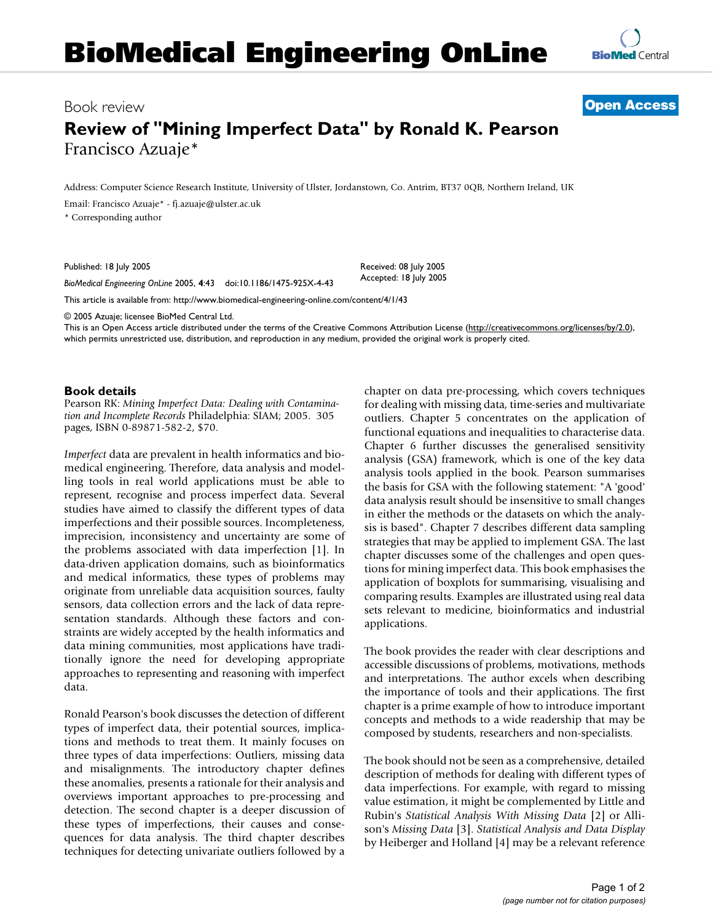

## Book review **[Open Access](http://www.biomedcentral.com/info/about/charter/)**

## **Review of "Mining Imperfect Data" by Ronald K. Pearson** Francisco Azuaje\*

Address: Computer Science Research Institute, University of Ulster, Jordanstown, Co. Antrim, BT37 0QB, Northern Ireland, UK

Email: Francisco Azuaje\* - fj.azuaje@ulster.ac.uk

\* Corresponding author

Published: 18 July 2005

*BioMedical Engineering OnLine* 2005, **4**:43 doi:10.1186/1475-925X-4-43

[This article is available from: http://www.biomedical-engineering-online.com/content/4/1/43](http://www.biomedical-engineering-online.com/content/4/1/43)

© 2005 Azuaje; licensee BioMed Central Ltd.

This is an Open Access article distributed under the terms of the Creative Commons Attribution License [\(http://creativecommons.org/licenses/by/2.0\)](http://creativecommons.org/licenses/by/2.0), which permits unrestricted use, distribution, and reproduction in any medium, provided the original work is properly cited.

Received: 08 July 2005 Accepted: 18 July 2005

## **Book details**

Pearson RK: *Mining Imperfect Data: Dealing with Contamination and Incomplete Records* Philadelphia: SIAM; 2005. 305 pages, ISBN 0-89871-582-2, \$70.

*Imperfect* data are prevalent in health informatics and biomedical engineering. Therefore, data analysis and modelling tools in real world applications must be able to represent, recognise and process imperfect data. Several studies have aimed to classify the different types of data imperfections and their possible sources. Incompleteness, imprecision, inconsistency and uncertainty are some of the problems associated with data imperfection [1]. In data-driven application domains, such as bioinformatics and medical informatics, these types of problems may originate from unreliable data acquisition sources, faulty sensors, data collection errors and the lack of data representation standards. Although these factors and constraints are widely accepted by the health informatics and data mining communities, most applications have traditionally ignore the need for developing appropriate approaches to representing and reasoning with imperfect data.

Ronald Pearson's book discusses the detection of different types of imperfect data, their potential sources, implications and methods to treat them. It mainly focuses on three types of data imperfections: Outliers, missing data and misalignments. The introductory chapter defines these anomalies, presents a rationale for their analysis and overviews important approaches to pre-processing and detection. The second chapter is a deeper discussion of these types of imperfections, their causes and consequences for data analysis. The third chapter describes techniques for detecting univariate outliers followed by a chapter on data pre-processing, which covers techniques for dealing with missing data, time-series and multivariate outliers. Chapter 5 concentrates on the application of functional equations and inequalities to characterise data. Chapter 6 further discusses the generalised sensitivity analysis (GSA) framework, which is one of the key data analysis tools applied in the book. Pearson summarises the basis for GSA with the following statement: "A 'good' data analysis result should be insensitive to small changes in either the methods or the datasets on which the analysis is based". Chapter 7 describes different data sampling strategies that may be applied to implement GSA. The last chapter discusses some of the challenges and open questions for mining imperfect data. This book emphasises the application of boxplots for summarising, visualising and comparing results. Examples are illustrated using real data sets relevant to medicine, bioinformatics and industrial applications.

The book provides the reader with clear descriptions and accessible discussions of problems, motivations, methods and interpretations. The author excels when describing the importance of tools and their applications. The first chapter is a prime example of how to introduce important concepts and methods to a wide readership that may be composed by students, researchers and non-specialists.

The book should not be seen as a comprehensive, detailed description of methods for dealing with different types of data imperfections. For example, with regard to missing value estimation, it might be complemented by Little and Rubin's *Statistical Analysis With Missing Data* [2] or Allison's *Missing Data* [3]. *Statistical Analysis and Data Display* by Heiberger and Holland [4] may be a relevant reference